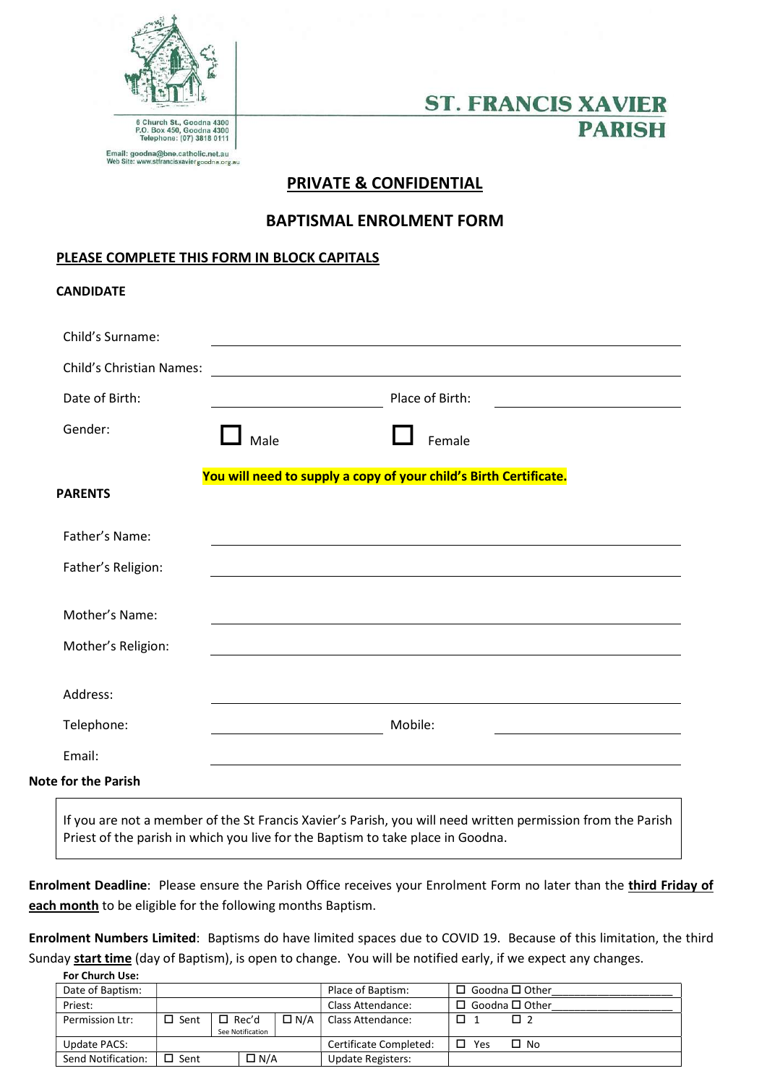

**CANDIDATE** 

# **ST. FRANCIS XAVIER PARISH**

# PRIVATE & CONFIDENTIAL

## BAPTISMAL ENROLMENT FORM

### PLEASE COMPLETE THIS FORM IN BLOCK CAPITALS

| <b>Child's Christian Names:</b> |      |                                                                   |  |
|---------------------------------|------|-------------------------------------------------------------------|--|
| Date of Birth:                  |      | Place of Birth:                                                   |  |
| Gender:                         | Male | Female                                                            |  |
| <b>PARENTS</b>                  |      | You will need to supply a copy of your child's Birth Certificate. |  |
| Father's Name:                  |      |                                                                   |  |
| Father's Religion:              |      |                                                                   |  |
| Mother's Name:                  |      | <u> 1989 - Johann Stoff, amerikansk politiker (* 1908)</u>        |  |
| Mother's Religion:              |      |                                                                   |  |
| Address:                        |      |                                                                   |  |
| Telephone:                      |      | Mobile:                                                           |  |
| Email:                          |      |                                                                   |  |
| <b>Note for the Parish</b>      |      |                                                                   |  |

Enrolment Deadline: Please ensure the Parish Office receives your Enrolment Form no later than the third Friday of each month to be eligible for the following months Baptism.

Enrolment Numbers Limited: Baptisms do have limited spaces due to COVID 19. Because of this limitation, the third Sunday start time (day of Baptism), is open to change. You will be notified early, if we expect any changes.

| <b>For Church Use:</b> |                |                  |            |                          |                            |
|------------------------|----------------|------------------|------------|--------------------------|----------------------------|
| Date of Baptism:       |                |                  |            | Place of Baptism:        | $\Box$ Goodna $\Box$ Other |
| Priest:                |                |                  |            | Class Attendance:        | $\Box$ Goodna $\Box$ Other |
| Permission Ltr:        | $\square$ Sent | $\square$ Rec'd  | $\Box$ N/A | Class Attendance:        | П<br>Пэ                    |
|                        |                | See Notification |            |                          |                            |
| Update PACS:           |                |                  |            | Certificate Completed:   | П<br>Yes<br>$\Box$ No      |
| Send Notification:     | $\square$ Sent | $\Box$ N/A       |            | <b>Update Registers:</b> |                            |